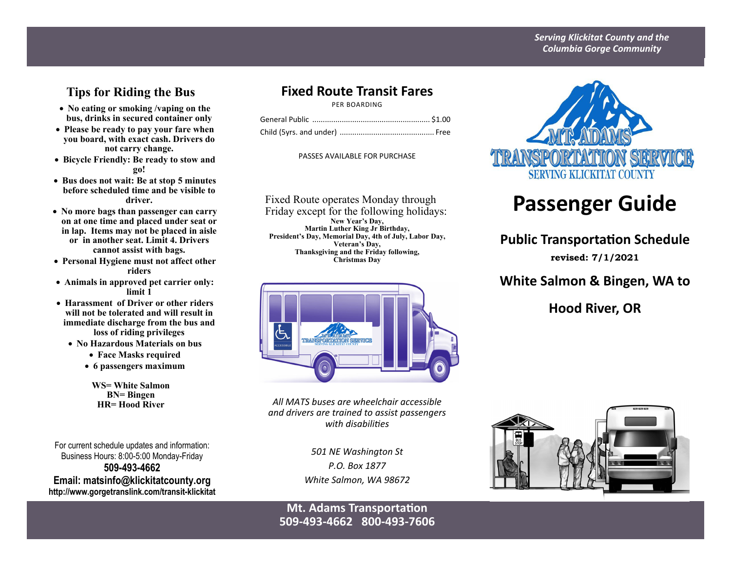#### *Serving Klickitat County and the Columbia Gorge Community*

## **Tips for Riding the Bus**

- **No eating or smoking /vaping on the bus, drinks in secured container only**
- **Please be ready to pay your fare when you board, with exact cash. Drivers do not carry change.**
- **Bicycle Friendly: Be ready to stow and go!**
- **Bus does not wait: Be at stop 5 minutes before scheduled time and be visible to driver.**
- **No more bags than passenger can carry on at one time and placed under seat or in lap. Items may not be placed in aisle or in another seat. Limit 4. Drivers cannot assist with bags.**
- **Personal Hygiene must not affect other riders**
- **Animals in approved pet carrier only: limit 1**
- **Harassment of Driver or other riders will not be tolerated and will result in immediate discharge from the bus and loss of riding privileges** 
	- **No Hazardous Materials on bus** 
		- **Face Masks required**
		- **6 passengers maximum**

**WS= White Salmon BN= Bingen** 

For current schedule updates and information: Business Hours: 8:00-5:00 Monday-Friday **509-493-4662 Email: matsinfo@klickitatcounty.org http://www.gorgetranslink.com/transit-klickitat**

## **Fixed Route Transit Fares**

PER BOARDING

PASSES AVAILABLE FOR PURCHASE

Fixed Route operates Monday through Friday except for the following holidays: **New Year's Day, Martin Luther King Jr Birthday, President's Day, Memorial Day, 4th of July, Labor Day, Veteran's Day, Thanksgiving and the Friday following, Christmas Day** 



**HR= Hood River** *All MATS buses are wheelchair accessible and drivers are trained to assist passengers with disabiliƟes* 

> *501 NE Washington St P.O. Box 1877 White Salmon, WA 98672*

### **Mt. Adams Transportation 509‐493‐4662 800‐493‐7606**



# **Passenger Guide**

## **Public Transportation Schedule**

**revised: 7/1/2021**

## **White Salmon & Bingen, WA to**

## **Hood River, OR**